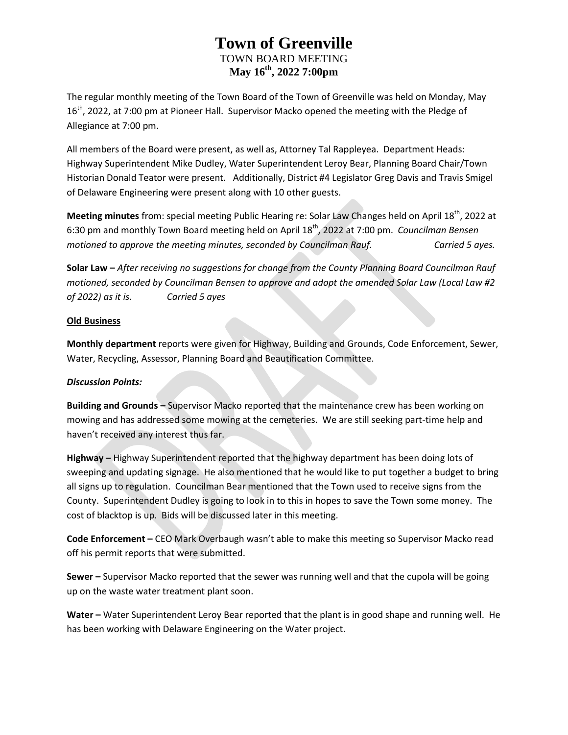The regular monthly meeting of the Town Board of the Town of Greenville was held on Monday, May 16<sup>th</sup>, 2022, at 7:00 pm at Pioneer Hall. Supervisor Macko opened the meeting with the Pledge of Allegiance at 7:00 pm.

All members of the Board were present, as well as, Attorney Tal Rappleyea. Department Heads: Highway Superintendent Mike Dudley, Water Superintendent Leroy Bear, Planning Board Chair/Town Historian Donald Teator were present. Additionally, District #4 Legislator Greg Davis and Travis Smigel of Delaware Engineering were present along with 10 other guests.

**Meeting minutes** from: special meeting Public Hearing re: Solar Law Changes held on April 18<sup>th</sup>, 2022 at 6:30 pm and monthly Town Board meeting held on April 18th, 2022 at 7:00 pm. *Councilman Bensen motioned to approve the meeting minutes, seconded by Councilman Rauf. Carried 5 ayes.*

**Solar Law –** *After receiving no suggestions for change from the County Planning Board Councilman Rauf motioned, seconded by Councilman Bensen to approve and adopt the amended Solar Law (Local Law #2 of 2022) as it is. Carried 5 ayes*

### **Old Business**

**Monthly department** reports were given for Highway, Building and Grounds, Code Enforcement, Sewer, Water, Recycling, Assessor, Planning Board and Beautification Committee.

### *Discussion Points:*

**Building and Grounds –** Supervisor Macko reported that the maintenance crew has been working on mowing and has addressed some mowing at the cemeteries. We are still seeking part-time help and haven't received any interest thus far.

**Highway –** Highway Superintendent reported that the highway department has been doing lots of sweeping and updating signage. He also mentioned that he would like to put together a budget to bring all signs up to regulation. Councilman Bear mentioned that the Town used to receive signs from the County. Superintendent Dudley is going to look in to this in hopes to save the Town some money. The cost of blacktop is up. Bids will be discussed later in this meeting.

**Code Enforcement –** CEO Mark Overbaugh wasn't able to make this meeting so Supervisor Macko read off his permit reports that were submitted.

**Sewer –** Supervisor Macko reported that the sewer was running well and that the cupola will be going up on the waste water treatment plant soon.

**Water –** Water Superintendent Leroy Bear reported that the plant is in good shape and running well. He has been working with Delaware Engineering on the Water project.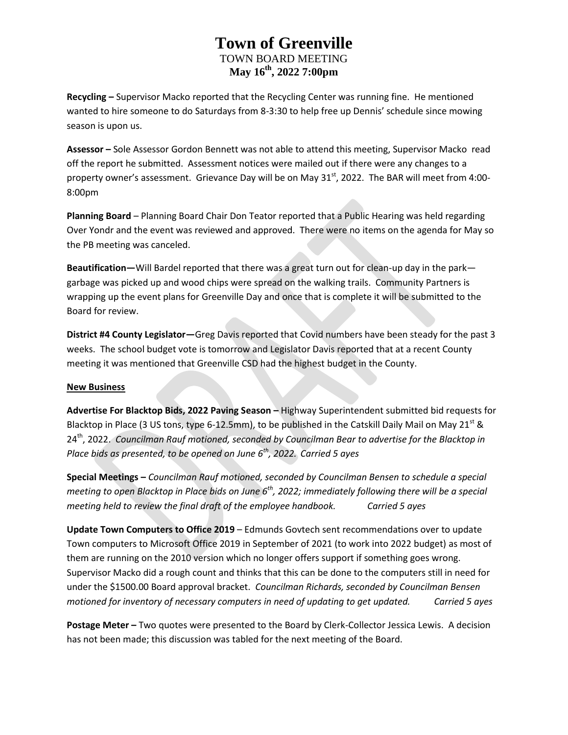**Recycling –** Supervisor Macko reported that the Recycling Center was running fine. He mentioned wanted to hire someone to do Saturdays from 8-3:30 to help free up Dennis' schedule since mowing season is upon us.

**Assessor –** Sole Assessor Gordon Bennett was not able to attend this meeting, Supervisor Macko read off the report he submitted. Assessment notices were mailed out if there were any changes to a property owner's assessment. Grievance Day will be on May  $31<sup>st</sup>$ , 2022. The BAR will meet from 4:00-8:00pm

**Planning Board** – Planning Board Chair Don Teator reported that a Public Hearing was held regarding Over Yondr and the event was reviewed and approved. There were no items on the agenda for May so the PB meeting was canceled.

**Beautification—**Will Bardel reported that there was a great turn out for clean-up day in the park garbage was picked up and wood chips were spread on the walking trails. Community Partners is wrapping up the event plans for Greenville Day and once that is complete it will be submitted to the Board for review.

**District #4 County Legislator—**Greg Davis reported that Covid numbers have been steady for the past 3 weeks. The school budget vote is tomorrow and Legislator Davis reported that at a recent County meeting it was mentioned that Greenville CSD had the highest budget in the County.

### **New Business**

**Advertise For Blacktop Bids, 2022 Paving Season –** Highway Superintendent submitted bid requests for Blacktop in Place (3 US tons, type 6-12.5mm), to be published in the Catskill Daily Mail on May 21<sup>st</sup> & 24<sup>th</sup>, 2022. *Councilman Rauf motioned, seconded by Councilman Bear to advertise for the Blacktop in Place bids as presented, to be opened on June 6th, 2022. Carried 5 ayes*

**Special Meetings –** *Councilman Rauf motioned, seconded by Councilman Bensen to schedule a special meeting to open Blacktop in Place bids on June 6th, 2022; immediately following there will be a special meeting held to review the final draft of the employee handbook. Carried 5 ayes* 

**Update Town Computers to Office 2019** – Edmunds Govtech sent recommendations over to update Town computers to Microsoft Office 2019 in September of 2021 (to work into 2022 budget) as most of them are running on the 2010 version which no longer offers support if something goes wrong. Supervisor Macko did a rough count and thinks that this can be done to the computers still in need for under the \$1500.00 Board approval bracket. *Councilman Richards, seconded by Councilman Bensen motioned for inventory of necessary computers in need of updating to get updated. Carried 5 ayes*

**Postage Meter –** Two quotes were presented to the Board by Clerk-Collector Jessica Lewis. A decision has not been made; this discussion was tabled for the next meeting of the Board.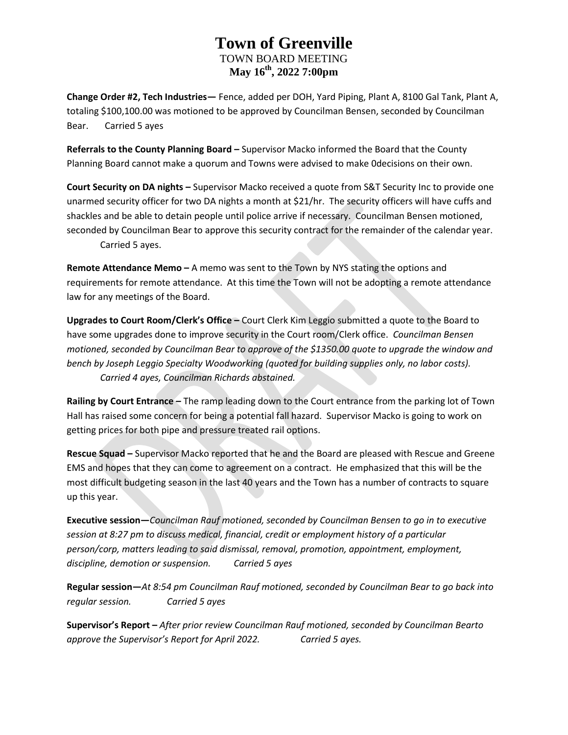**Change Order #2, Tech Industries—** Fence, added per DOH, Yard Piping, Plant A, 8100 Gal Tank, Plant A, totaling \$100,100.00 was motioned to be approved by Councilman Bensen, seconded by Councilman Bear. Carried 5 ayes

**Referrals to the County Planning Board –** Supervisor Macko informed the Board that the County Planning Board cannot make a quorum and Towns were advised to make 0decisions on their own.

**Court Security on DA nights –** Supervisor Macko received a quote from S&T Security Inc to provide one unarmed security officer for two DA nights a month at \$21/hr. The security officers will have cuffs and shackles and be able to detain people until police arrive if necessary. Councilman Bensen motioned, seconded by Councilman Bear to approve this security contract for the remainder of the calendar year. Carried 5 ayes.

**Remote Attendance Memo –** A memo was sent to the Town by NYS stating the options and requirements for remote attendance. At this time the Town will not be adopting a remote attendance law for any meetings of the Board.

**Upgrades to Court Room/Clerk's Office –** Court Clerk Kim Leggio submitted a quote to the Board to have some upgrades done to improve security in the Court room/Clerk office. *Councilman Bensen motioned, seconded by Councilman Bear to approve of the \$1350.00 quote to upgrade the window and bench by Joseph Leggio Specialty Woodworking (quoted for building supplies only, no labor costs). Carried 4 ayes, Councilman Richards abstained.*

**Railing by Court Entrance –** The ramp leading down to the Court entrance from the parking lot of Town Hall has raised some concern for being a potential fall hazard. Supervisor Macko is going to work on getting prices for both pipe and pressure treated rail options.

**Rescue Squad –** Supervisor Macko reported that he and the Board are pleased with Rescue and Greene EMS and hopes that they can come to agreement on a contract. He emphasized that this will be the most difficult budgeting season in the last 40 years and the Town has a number of contracts to square up this year.

**Executive session—***Councilman Rauf motioned, seconded by Councilman Bensen to go in to executive session at 8:27 pm to discuss medical, financial, credit or employment history of a particular person/corp, matters leading to said dismissal, removal, promotion, appointment, employment, discipline, demotion or suspension. Carried 5 ayes*

**Regular session—***At 8:54 pm Councilman Rauf motioned, seconded by Councilman Bear to go back into regular session. Carried 5 ayes*

**Supervisor's Report –** *After prior review Councilman Rauf motioned, seconded by Councilman Bearto approve the Supervisor's Report for April 2022. Carried 5 ayes.*